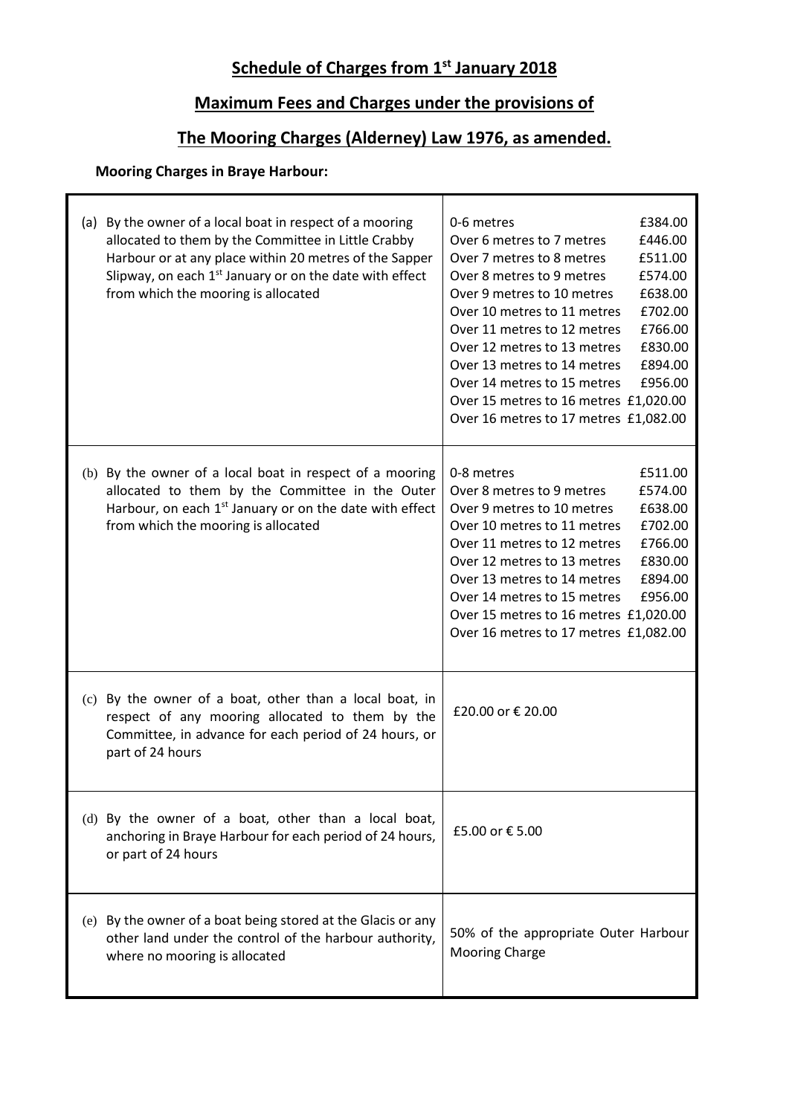# **Schedule of Charges from 1st January 2018**

# **Maximum Fees and Charges under the provisions of**

## **The Mooring Charges (Alderney) Law 1976, as amended.**

Τ

### **Mooring Charges in Braye Harbour:**

| (a) By the owner of a local boat in respect of a mooring<br>allocated to them by the Committee in Little Crabby<br>Harbour or at any place within 20 metres of the Sapper<br>Slipway, on each 1 <sup>st</sup> January or on the date with effect<br>from which the mooring is allocated | £384.00<br>0-6 metres<br>Over 6 metres to 7 metres<br>£446.00<br>£511.00<br>Over 7 metres to 8 metres<br>Over 8 metres to 9 metres<br>£574.00<br>£638.00<br>Over 9 metres to 10 metres<br>£702.00<br>Over 10 metres to 11 metres<br>£766.00<br>Over 11 metres to 12 metres<br>£830.00<br>Over 12 metres to 13 metres<br>£894.00<br>Over 13 metres to 14 metres<br>Over 14 metres to 15 metres<br>£956.00<br>Over 15 metres to 16 metres £1,020.00<br>Over 16 metres to 17 metres £1,082.00 |
|-----------------------------------------------------------------------------------------------------------------------------------------------------------------------------------------------------------------------------------------------------------------------------------------|--------------------------------------------------------------------------------------------------------------------------------------------------------------------------------------------------------------------------------------------------------------------------------------------------------------------------------------------------------------------------------------------------------------------------------------------------------------------------------------------|
| (b) By the owner of a local boat in respect of a mooring<br>allocated to them by the Committee in the Outer<br>Harbour, on each 1 <sup>st</sup> January or on the date with effect<br>from which the mooring is allocated                                                               | 0-8 metres<br>£511.00<br>Over 8 metres to 9 metres<br>£574.00<br>£638.00<br>Over 9 metres to 10 metres<br>Over 10 metres to 11 metres<br>£702.00<br>£766.00<br>Over 11 metres to 12 metres<br>£830.00<br>Over 12 metres to 13 metres<br>£894.00<br>Over 13 metres to 14 metres<br>£956.00<br>Over 14 metres to 15 metres<br>Over 15 metres to 16 metres £1,020.00<br>Over 16 metres to 17 metres £1,082.00                                                                                 |
| (c) By the owner of a boat, other than a local boat, in<br>respect of any mooring allocated to them by the<br>Committee, in advance for each period of 24 hours, or<br>part of 24 hours                                                                                                 | £20.00 or € 20.00                                                                                                                                                                                                                                                                                                                                                                                                                                                                          |
| (d) By the owner of a boat, other than a local boat,<br>anchoring in Braye Harbour for each period of 24 hours,<br>or part of 24 hours                                                                                                                                                  | £5.00 or € 5.00                                                                                                                                                                                                                                                                                                                                                                                                                                                                            |
| (e) By the owner of a boat being stored at the Glacis or any<br>other land under the control of the harbour authority,<br>where no mooring is allocated                                                                                                                                 | 50% of the appropriate Outer Harbour<br><b>Mooring Charge</b>                                                                                                                                                                                                                                                                                                                                                                                                                              |